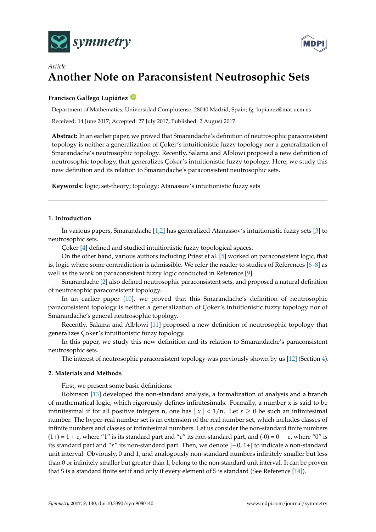



# *Article* **Another Note on Paraconsistent Neutrosophic Sets**

## **Francisco Gallego Lupiáñez [ID](https://orcid.org/0000-0002-9821-8424)**

Department of Mathematics, Universidad Complutense, 28040 Madrid, Spain; fg\_lupianez@mat.ucm.es Received: 14 June 2017; Accepted: 27 July 2017; Published: 2 August 2017

**Abstract:** In an earlier paper, we proved that Smarandache's definition of neutrosophic paraconsistent topology is neither a generalization of Çoker's intuitionistic fuzzy topology nor a generalization of Smarandache's neutrosophic topology. Recently, Salama and Alblowi proposed a new definition of neutrosophic topology, that generalizes Çoker's intuitionistic fuzzy topology. Here, we study this new definition and its relation to Smarandache's paraconsistent neutrosophic sets.

**Keywords:** logic; set-theory; topology; Atanassov's intuitionistic fuzzy sets

## **1. Introduction**

In various papers, Smarandache [\[1,](#page-3-0)[2\]](#page-3-1) has generalized Atanassov's intuitionistic fuzzy sets [\[3\]](#page-3-2) to neutrosophic sets.

Çoker [\[4\]](#page-3-3) defined and studied intuitionistic fuzzy topological spaces.

On the other hand, various authors including Priest et al. [\[5\]](#page-3-4) worked on paraconsistent logic, that is, logic where some contradiction is admissible. We refer the reader to studies of References [\[6–](#page-3-5)[8\]](#page-3-6) as well as the work on paraconsistent fuzzy logic conducted in Reference [\[9\]](#page-3-7).

Smarandache [\[2\]](#page-3-1) also defined neutrosophic paraconsistent sets, and proposed a natural definition of neutrosophic paraconsistent topology.

In an earlier paper [\[10\]](#page-3-8), we proved that this Smarandache's definition of neutrosophic paraconsistent topology is neither a generalization of Çoker's intuitionistic fuzzy topology nor of Smarandache's general neutrosophic topology.

Recently, Salama and Alblowi [\[11\]](#page-3-9) proposed a new definition of neutrosophic topology that generalizes Çoker's intuitionistic fuzzy topology.

In this paper, we study this new definition and its relation to Smarandache's paraconsistent neutrosophic sets.

The interest of neutrosophic paraconsistent topology was previously shown by us [\[12\]](#page-3-10) (Section [4\)](#page-2-0).

#### **2. Materials and Methods**

First, we present some basic definitions:

Robinson [\[13\]](#page-3-11) developed the non-standard analysis, a formalization of analysis and a branch of mathematical logic, which rigorously defines infinitesimals. Formally, a number x is said to be infinitesimal if for all positive integers n, one has  $|x| < 1/n$ . Let  $\varepsilon \ge 0$  be such an infinitesimal number. The hyper-real number set is an extension of the real number set, which includes classes of infinite numbers and classes of infinitesimal numbers. Let us consider the non-standard finite numbers (1+) = 1 +  $\varepsilon$ , where "1" is its standard part and " $\varepsilon$ " its non-standard part, and (-0) = 0 –  $\varepsilon$ , where "0" is its standard part and "ε" its non-standard part. Then, we denote ]−0, 1+[ to indicate a non-standard unit interval. Obviously, 0 and 1, and analogously non-standard numbers infinitely smaller but less than 0 or infinitely smaller but greater than 1, belong to the non-standard unit interval. It can be proven that S is a standard finite set if and only if every element of S is standard (See Reference [\[14\]](#page-3-12)).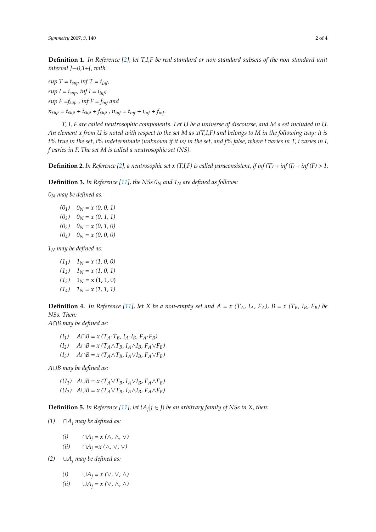**Definition 1.** *In Reference [\[2\]](#page-3-1), let T,I,F be real standard or non-standard subsets of the non-standard unit interval ]*−*0,1+[, with*

*sup*  $T = t_{\text{sup}}$  *inf*  $T = t_{\text{inf}}$ *, sup*  $I = i_{\text{sup}}$ *, inf*  $I = i_{\text{inf}}$ *; sup*  $F = f_{\text{sup}}$ ,  $\inf F = f_{\text{inf}}$  and  $n_{sup} = t_{sup} + i_{sup} + f_{sup}$ ,  $n_{inf} = t_{inf} + i_{inf} + f_{inf}$ .

*T, I, F are called neutrosophic components. Let U be a universe of discourse, and M a set included in U. An element x from U is noted with respect to the set M as x(T,I,F) and belongs to M in the following way: it is t% true in the set, i% indeterminate (unknown if it is) in the set, and f% false, where t varies in T, i varies in I, f varies in F. The set M is called a neutrosophic set (NS).*

**Definition 2.** In Reference [\[2\]](#page-3-1), a neutrosophic set x (T,I,F) is called paraconsistent, if inf (T) + inf (I) + inf (F) > 1.

**Definition 3.** *In Reference [\[11\]](#page-3-9), the NSs 0<sup>N</sup> and 1<sup>N</sup> are defined as follows:*

*0<sup>N</sup> may be defined as:*

 $(0_1)$   $0_N = x(0, 0, 1)$  $(0_2)$   $0_N = x(0, 1, 1)$  $(0_3)$   $0_N = x(0, 1, 0)$  $(0_4)$   $0_N = x(0, 0, 0)$ 

*1<sup>N</sup> may be defined as:*

- $(1_1)$   $1_N = x(1, 0, 0)$  $(1_2)$   $1_N = x (1, 0, 1)$  $(1_3)$  1<sub>N</sub> = x (1, 1, 0)
- $(1_4)$   $1_N = x (1, 1, 1)$

**Definition 4.** In Reference [\[11\]](#page-3-9), let X be a non-empty set and  $A = x (T_A, I_A, F_A)$ ,  $B = x (T_B, I_B, F_B)$  be *NSs. Then:*

*A*∩*B may be defined as:*

- *(I1) A*∩*B = x (TA*·*TB, IA*·*IB, FA*·*FB)*
- $(I_2)$   $A \cap B = x (T_A \wedge T_B, I_A \wedge I_B, F_A \vee F_B)$
- $(I_3)$   $A \cap B = x$   $(T_A \wedge T_B, I_A \vee I_B, F_A \vee F_B)$

*A*∪*B may be defined as:*

- $(U_1)$   $A \cup B = x$   $(T_A \vee T_B, I_A \vee I_B, F_A \wedge F_B)$
- *(U*<sub>2</sub>*)*  $A ∪ B = x (T<sub>A</sub> ∨ T<sub>B</sub>, I<sub>A</sub> ∧ I<sub>B</sub>, F<sub>A</sub> ∧ F<sub>B</sub>)$

**Definition 5.** *In Reference* [\[11\]](#page-3-9), *let* { $A_j$ | $j \in J$ } *be an arbitrary family of NSs in X, then*:

*(1)* ∩*A<sup>j</sup> may be defined as:*

- *(i)* ∩ $A_j = x$  (∧*,* ∧*,* ∨*)*
- *(ii)* ∩*A<sup>j</sup> =x (*∧*,* ∨*,* ∨*)*
- *(2)* ∪*A<sup>j</sup> may be defined as:*
	- *(i)* ∪ $A_i = x$  (∨*,* ∨*,* ∧*)*
	- *(ii)* ∪ $A_i = x$  (∨*,* ∧*,* ∧*)*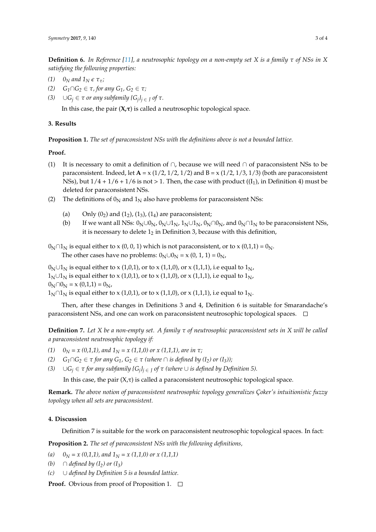**Definition 6.** *In Reference [\[11\]](#page-3-9), a neutrosophic topology on a non-empty set X is a family τ of NSs in X satisfying the following properties:*

- *(1)*  $0_N$  *and*  $1_N \in \tau_\tau$ *;*
- *(2)*  $G_1 \cap G_2$  ∈ *τ, for any*  $G_1$ *,*  $G_2$  ∈ *τ;*
- *(3)* ∪*G<sup>j</sup>* ∈ *τ or any subfamily {G<sup>j</sup> }<sup>j</sup>* <sup>∈</sup> *<sup>J</sup> of τ.*

In this case, the pair  $(X,\tau)$  is called a neutrosophic topological space.

## **3. Results**

**Proposition 1.** *The set of paraconsistent NSs with the definitions above is not a bounded lattice.*

#### **Proof.**

- (1) It is necessary to omit a definition of ∩, because we will need ∩ of paraconsistent NSs to be paraconsistent. Indeed, let  $\mathbf{A} = x(1/2, 1/2, 1/2)$  and  $\mathbf{B} = x(1/2, 1/3, 1/3)$  (both are paraconsistent NSs), but  $1/4 + 1/6 + 1/6$  is not > 1. Then, the case with product  $((I_1)$ , in Definition 4) must be deleted for paraconsistent NSs.
- (2) The definitions of  $0<sub>N</sub>$  and  $1<sub>N</sub>$  also have problems for paraconsistent NSs:
	- (a) Only  $(0_2)$  and  $(1_2)$ ,  $(1_3)$ ,  $(1_4)$  are paraconsistent;
	- (b) If we want all NSs:  $0_N \cup 0_N$ ,  $0_N \cup 1_N$ ,  $1_N \cup 1_N$ ,  $0_N \cap 0_N$ , and  $0_N \cap 1_N$  to be paraconsistent NSs, it is necessary to delete  $1<sub>2</sub>$  in Definition 3, because with this definition,
- $0<sub>N</sub> \cap 1<sub>N</sub>$  is equal either to x (0, 0, 1) which is not paraconsistent, or to x (0,1,1) =  $0<sub>N</sub>$ . The other cases have no problems:  $0_N \cup 0_N = x (0, 1, 1) = 0_N$ ,

 $0<sub>N</sub> \cup 1<sub>N</sub>$  is equal either to x (1,0,1), or to x (1,1,0), or x (1,1,1), i.e equal to  $1<sub>N</sub>$ ,  $1_N \cup 1_N$  is equal either to x (1,0,1), or to x (1,1,0), or x (1,1,1), i.e equal to  $1_N$ ,  $0_N \cap 0_N = x(0,1,1) = 0_N$  $1_N \cap 1_N$  is equal either to x (1,0,1), or to x (1,1,0), or x (1,1,1), i.e equal to  $1_N$ .

Then, after these changes in Definitions 3 and 4, Definition 6 is suitable for Smarandache's paraconsistent NSs, and one can work on paraconsistent neutrosophic topological spaces.  $\Box$ 

**Definition 7.** *Let X be a non-empty set. A family τ of neutrosophic paraconsistent sets in X will be called a paraconsistent neutrosophic topology if:*

- *(1)*  $0_N = x(0,1,1)$ , and  $1_N = x(1,1,0)$  or  $x(1,1,1)$ , are in  $\tau$ ;
- *(2)*  $G_1 \cap G_2 \in \tau$  *for any*  $G_1$ *,*  $G_2 \in \tau$  *(where*  $\cap$  *is defined by (I<sub>2</sub>) or (I<sub>3</sub>));*
- *(3)* ∪*G<sup>j</sup>* ∈ *τ for any subfamily {G<sup>j</sup> }<sup>j</sup>* <sup>∈</sup> *<sup>J</sup> of τ (where* ∪ *is defined by Definition 5).*

In this case, the pair  $(X,\tau)$  is called a paraconsistent neutrosophic topological space.

**Remark.** *The above notion of paraconsistent neutrosophic topology generalizes Çoker's intuitionistic fuzzy topology when all sets are paraconsistent.*

## <span id="page-2-0"></span>**4. Discussion**

Definition 7 is suitable for the work on paraconsistent neutrosophic topological spaces. In fact:

**Proposition 2.** *The set of paraconsistent NSs with the following definitions,*

- (a)  $0_N = x(0,1,1)$ , and  $1_N = x(1,1,0)$  or  $x(1,1,1)$
- *(b)* ∩ *defined by*  $(I_2)$  *or*  $(I_3)$
- *(c)* ∪ *defined by Definition 5 is a bounded lattice.*

**Proof.** Obvious from proof of Proposition 1. □